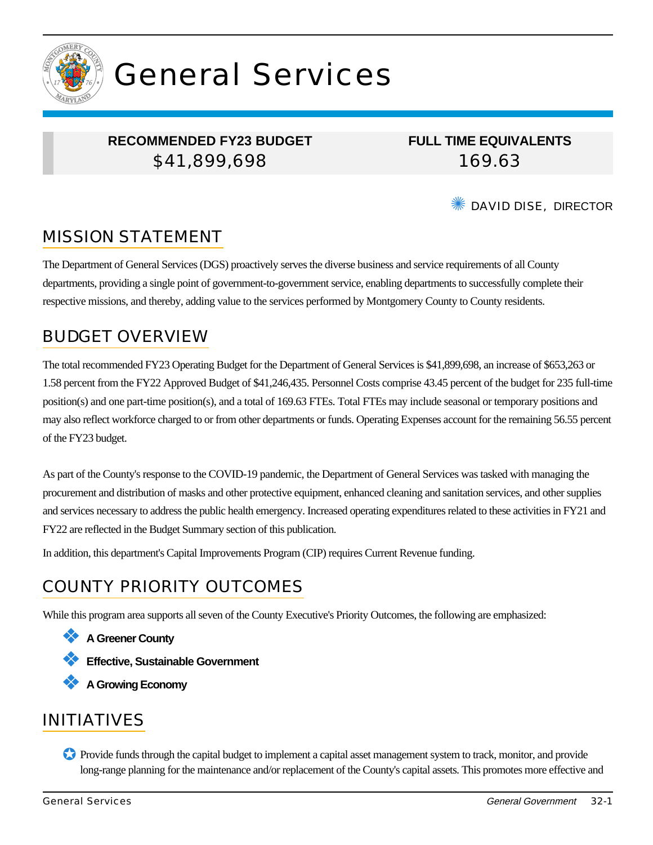

# General Services

### **RECOMMENDED FY23 BUDGET** \$41,899,698

**FULL TIME EQUIVALENTS** 169.63

✺ DAVID DISE, DIRECTOR

# MISSION STATEMENT

The Department of General Services (DGS) proactively serves the diverse business and service requirements of all County departments, providing a single point of government-to-government service, enabling departments to successfully complete their respective missions, and thereby, adding value to the services performed by Montgomery County to County residents.

### BUDGET OVERVIEW

The total recommended FY23 Operating Budget for the Department of General Services is \$41,899,698, an increase of \$653,263 or 1.58 percent from the FY22 Approved Budget of \$41,246,435. Personnel Costs comprise 43.45 percent of the budget for 235 full-time position(s) and one part-time position(s), and a total of 169.63 FTEs. Total FTEs may include seasonal or temporary positions and may also reflect workforce charged to or from other departments or funds. Operating Expenses account for the remaining 56.55 percent of the FY23 budget.

As part of the County's response to the COVID-19 pandemic, the Department of General Services was tasked with managing the procurement and distribution of masks and other protective equipment, enhanced cleaning and sanitation services, and other supplies and services necessary to address the public health emergency. Increased operating expenditures related to these activities in FY21 and FY22 are reflected in the Budget Summary section of this publication.

In addition, this department's Capital Improvements Program (CIP) requires Current Revenue funding.

# COUNTY PRIORITY OUTCOMES

While this program area supports all seven of the County Executive's Priority Outcomes, the following are emphasized:

- ❖ **A Greener County**
- ❖ **Effective, Sustainable Government**
- ❖ **A Growing Economy**

### INITIATIVES

✪ Provide funds through the capital budget to implement a capital asset management system to track, monitor, and provide long-range planning for the maintenance and/or replacement of the County's capital assets. This promotes more effective and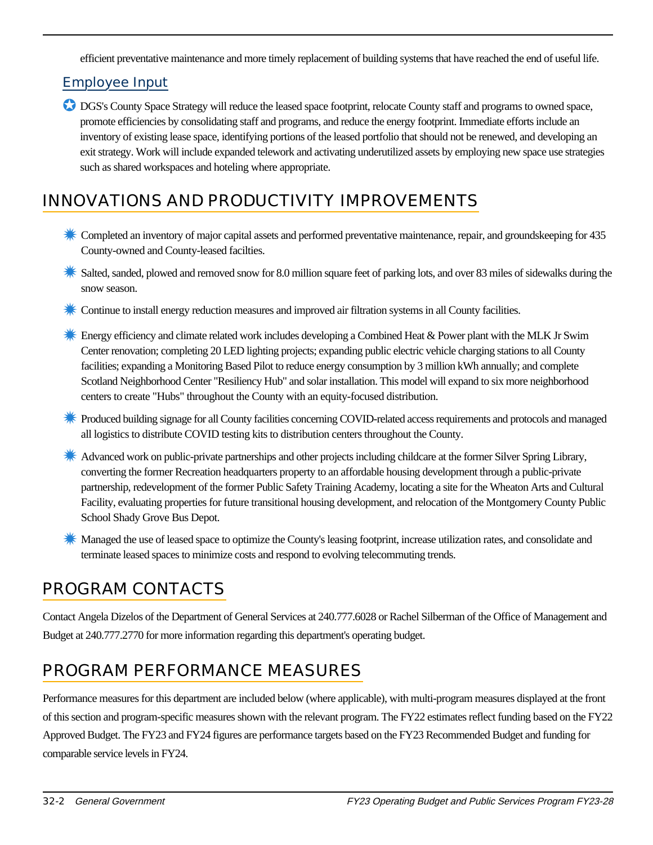efficient preventative maintenance and more timely replacement of building systems that have reached the end of useful life.

#### Employee Input

✪ DGS's County Space Strategy will reduce the leased space footprint, relocate County staff and programs to owned space, promote efficiencies by consolidating staff and programs, and reduce the energy footprint. Immediate efforts include an inventory of existing lease space, identifying portions of the leased portfolio that should not be renewed, and developing an exit strategy. Work will include expanded telework and activating underutilized assets by employing new space use strategies such as shared workspaces and hoteling where appropriate.

# INNOVATIONS AND PRODUCTIVITY IMPROVEMENTS

- ✹ Completed an inventory of major capital assets and performed preventative maintenance, repair, and groundskeeping for 435 County-owned and County-leased facilties.
- Salted, sanded, plowed and removed snow for 8.0 million square feet of parking lots, and over 83 miles of sidewalks during the snow season.
- ✹ Continue to install energy reduction measures and improved air filtration systems in all County facilities.
- **Energy efficiency and climate related work includes developing a Combined Heat & Power plant with the MLK Jr Swim** Center renovation; completing 20 LED lighting projects; expanding public electric vehicle charging stations to all County facilities; expanding a Monitoring Based Pilot to reduce energy consumption by 3 million kWh annually; and complete Scotland Neighborhood Center "Resiliency Hub" and solar installation. This model will expand to six more neighborhood centers to create "Hubs" throughout the County with an equity-focused distribution.
- ✹ Produced building signage for all County facilities concerning COVID-related access requirements and protocols and managed all logistics to distribute COVID testing kits to distribution centers throughout the County.
- **K** Advanced work on public-private partnerships and other projects including childcare at the former Silver Spring Library, converting the former Recreation headquarters property to an affordable housing development through a public-private partnership, redevelopment of the former Public Safety Training Academy, locating a site for the Wheaton Arts and Cultural Facility, evaluating properties for future transitional housing development, and relocation of the Montgomery County Public School Shady Grove Bus Depot.
- **K** Managed the use of leased space to optimize the County's leasing footprint, increase utilization rates, and consolidate and terminate leased spaces to minimize costs and respond to evolving telecommuting trends.

# PROGRAM CONTACTS

Contact Angela Dizelos of the Department of General Services at 240.777.6028 or Rachel Silberman of the Office of Management and Budget at 240.777.2770 for more information regarding this department's operating budget.

# PROGRAM PERFORMANCE MEASURES

Performance measures for this department are included below (where applicable), with multi-program measures displayed at the front of this section and program-specific measures shown with the relevant program. The FY22 estimates reflect funding based on the FY22 Approved Budget. The FY23 and FY24 figures are performance targets based on the FY23 Recommended Budget and funding for comparable service levels in FY24.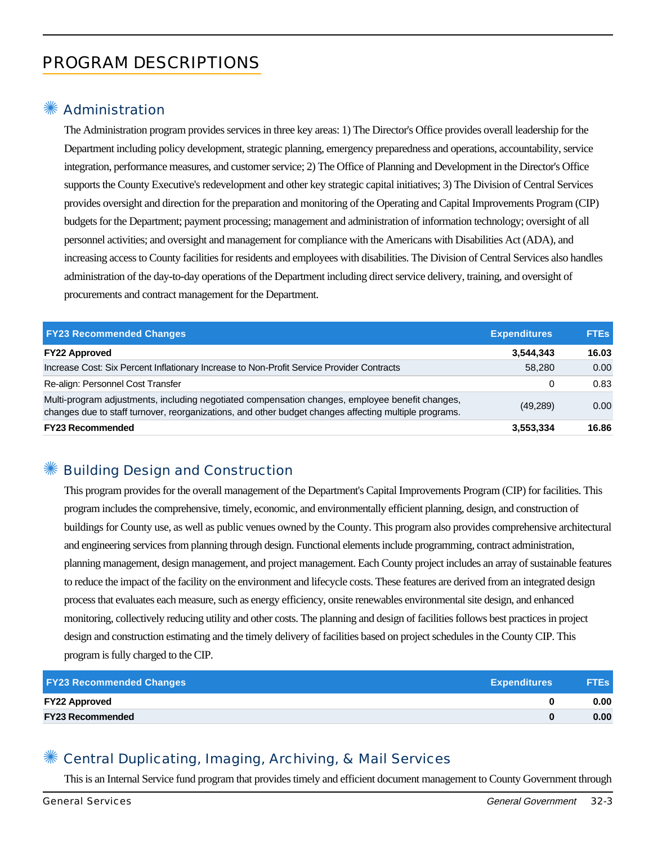# PROGRAM DESCRIPTIONS

#### **Administration**

The Administration program provides services in three key areas: 1) The Director's Office provides overall leadership for the Department including policy development, strategic planning, emergency preparedness and operations, accountability, service integration, performance measures, and customer service; 2) The Office of Planning and Development in the Director's Office supports the County Executive's redevelopment and other key strategic capital initiatives; 3) The Division of Central Services provides oversight and direction for the preparation and monitoring of the Operating and Capital Improvements Program (CIP) budgets for the Department; payment processing; management and administration of information technology; oversight of all personnel activities; and oversight and management for compliance with the Americans with Disabilities Act (ADA), and increasing access to County facilities for residents and employees with disabilities. The Division of Central Services also handles administration of the day-to-day operations of the Department including direct service delivery, training, and oversight of procurements and contract management for the Department.

| <b>FY23 Recommended Changes</b>                                                                                                                                                                          | <b>Expenditures</b> | <b>FTEs</b> |
|----------------------------------------------------------------------------------------------------------------------------------------------------------------------------------------------------------|---------------------|-------------|
| <b>FY22 Approved</b>                                                                                                                                                                                     | 3,544,343           | 16.03       |
| Increase Cost: Six Percent Inflationary Increase to Non-Profit Service Provider Contracts                                                                                                                | 58,280              | 0.00        |
| Re-align: Personnel Cost Transfer                                                                                                                                                                        | 0                   | 0.83        |
| Multi-program adjustments, including negotiated compensation changes, employee benefit changes,<br>changes due to staff turnover, reorganizations, and other budget changes affecting multiple programs. | (49, 289)           | 0.00        |
| <b>FY23 Recommended</b>                                                                                                                                                                                  | 3,553,334           | 16.86       |

### ✺ Building Design and Construction

This program provides for the overall management of the Department's Capital Improvements Program (CIP) for facilities. This program includes the comprehensive, timely, economic, and environmentally efficient planning, design, and construction of buildings for County use, as well as public venues owned by the County. This program also provides comprehensive architectural and engineering services from planning through design. Functional elements include programming, contract administration, planning management, design management, and project management. Each County project includes an array of sustainable features to reduce the impact of the facility on the environment and lifecycle costs. These features are derived from an integrated design process that evaluates each measure, such as energy efficiency, onsite renewables environmental site design, and enhanced monitoring, collectively reducing utility and other costs. The planning and design of facilities follows best practices in project design and construction estimating and the timely delivery of facilities based on project schedules in the County CIP. This program is fully charged to the CIP.

| <b>FY23 Recommended Changes</b> | <b>Expenditures</b> | <b>FTEs</b> |
|---------------------------------|---------------------|-------------|
| <b>FY22 Approved</b>            |                     | 0.00        |
| <b>FY23 Recommended</b>         |                     | 0.00        |

#### Central Duplicating, Imaging, Archiving, & Mail Services

This is an Internal Service fund program that provides timely and efficient document management to County Government through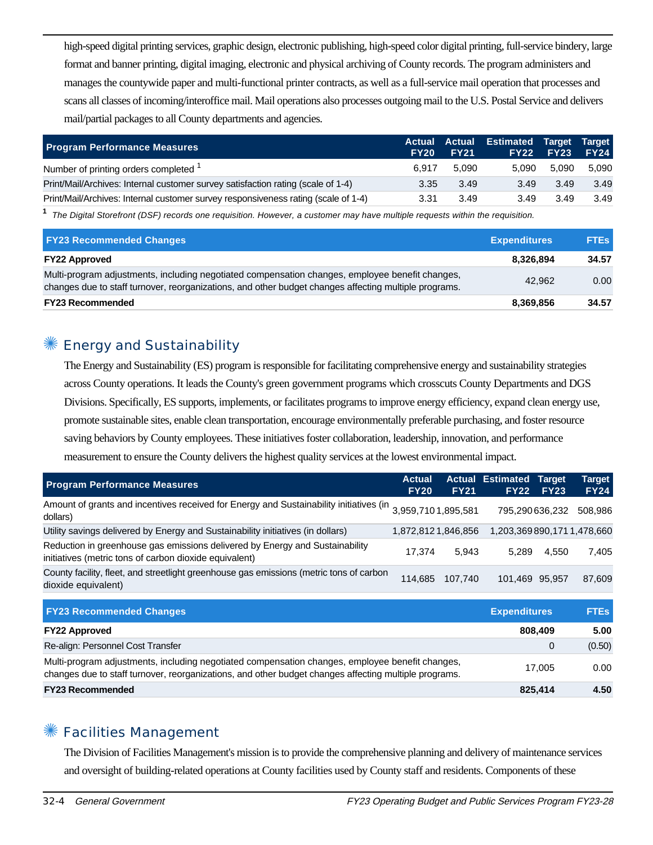high-speed digital printing services, graphic design, electronic publishing, high-speed color digital printing, full-service bindery, large format and banner printing, digital imaging, electronic and physical archiving of County records. The program administers and manages the countywide paper and multi-functional printer contracts, as well as a full-service mail operation that processes and scans all classes of incoming/interoffice mail. Mail operations also processes outgoing mail to the U.S. Postal Service and delivers mail/partial packages to all County departments and agencies.

| <b>Program Performance Measures</b>                                                | <b>FY20</b> | <b>Actual Actual</b><br><b>FY21</b> | <b>Estimated Target Target</b> | <b>FY22 FY23</b> | <b>FY24</b> |
|------------------------------------------------------------------------------------|-------------|-------------------------------------|--------------------------------|------------------|-------------|
| Number of printing orders completed <sup>1</sup>                                   | 6.917       | 5.090                               | 5.090                          | 5.090            | 5.090       |
| Print/Mail/Archives: Internal customer survey satisfaction rating (scale of 1-4)   | 3.35        | 3.49                                | 3.49                           | 3.49             | 3.49        |
| Print/Mail/Archives: Internal customer survey responsiveness rating (scale of 1-4) | 3.31        | 3.49                                | 3.49                           | 3.49             | 3.49        |

**1** The Digital Storefront (DSF) records one requisition. However, a customer may have multiple requests within the requisition.

| <b>FY23 Recommended Changes</b>                                                                                                                                                                          | <b>Expenditures</b> | <b>FTEs</b> |
|----------------------------------------------------------------------------------------------------------------------------------------------------------------------------------------------------------|---------------------|-------------|
| <b>FY22 Approved</b>                                                                                                                                                                                     | 8.326.894           | 34.57       |
| Multi-program adjustments, including negotiated compensation changes, employee benefit changes,<br>changes due to staff turnover, reorganizations, and other budget changes affecting multiple programs. | 42.962              | 0.00        |
| <b>FY23 Recommended</b>                                                                                                                                                                                  | 8,369,856           | 34.57       |

#### Energy and Sustainability

The Energy and Sustainability (ES) program is responsible for facilitating comprehensive energy and sustainability strategies across County operations. It leads the County's green government programs which crosscuts County Departments and DGS Divisions. Specifically, ES supports, implements, or facilitates programs to improve energy efficiency, expand clean energy use, promote sustainable sites, enable clean transportation, encourage environmentally preferable purchasing, and foster resource saving behaviors by County employees. These initiatives foster collaboration, leadership, innovation, and performance measurement to ensure the County delivers the highest quality services at the lowest environmental impact.

| <b>Program Performance Measures</b>                                                                                                    | <b>Actual</b><br><b>FY20</b> | <b>FY21</b> | <b>Actual Estimated Target</b><br><b>FY22</b> | <b>FY23</b> | Target<br><b>FY24</b> |
|----------------------------------------------------------------------------------------------------------------------------------------|------------------------------|-------------|-----------------------------------------------|-------------|-----------------------|
| Amount of grants and incentives received for Energy and Sustainability initiatives (in<br>dollars)                                     | 3,959,7101,895,581           |             | 795,290636,232                                |             | 508.986               |
| Utility savings delivered by Energy and Sustainability initiatives (in dollars)                                                        | 1,872,8121,846,856           |             | 1,203,369 890,171 1,478,660                   |             |                       |
| Reduction in greenhouse gas emissions delivered by Energy and Sustainability<br>initiatives (metric tons of carbon dioxide equivalent) | 17.374                       | 5.943       | 5.289                                         | 4.550       | 7.405                 |
| County facility, fleet, and streetlight greenhouse gas emissions (metric tons of carbon<br>dioxide equivalent)                         | 114.685                      | 107.740     | 101.469 95.957                                |             | 87.609                |

| <b>FY23 Recommended Changes</b>                                                                                                                                                                          | <b>Expenditures</b> | <b>FTEs</b> |
|----------------------------------------------------------------------------------------------------------------------------------------------------------------------------------------------------------|---------------------|-------------|
| <b>FY22 Approved</b>                                                                                                                                                                                     | 808,409             | 5.00        |
| Re-align: Personnel Cost Transfer                                                                                                                                                                        |                     | (0.50)      |
| Multi-program adjustments, including negotiated compensation changes, employee benefit changes,<br>changes due to staff turnover, reorganizations, and other budget changes affecting multiple programs. | 17.005              | 0.00        |
| <b>FY23 Recommended</b>                                                                                                                                                                                  | 825.414             | 4.50        |

#### ✺ Facilities Management

The Division of Facilities Management's mission is to provide the comprehensive planning and delivery of maintenance services and oversight of building-related operations at County facilities used by County staff and residents. Components of these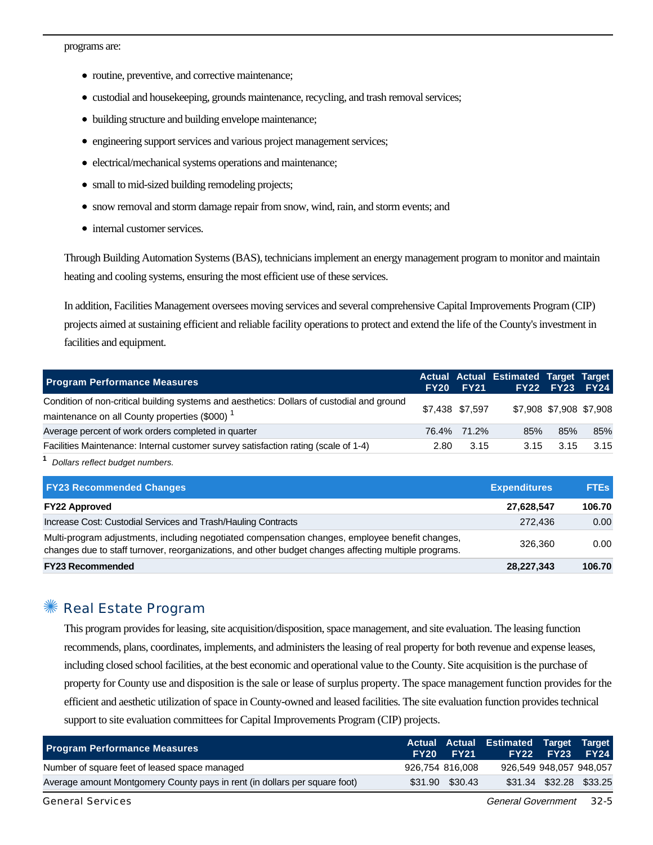programs are:

- routine, preventive, and corrective maintenance;
- custodial and housekeeping, grounds maintenance, recycling, and trash removal services;
- building structure and building envelope maintenance;
- engineering support services and various project management services;
- electrical/mechanical systems operations and maintenance;
- small to mid-sized building remodeling projects;
- snow removal and storm damage repair from snow, wind, rain, and storm events; and
- internal customer services.

Through Building Automation Systems (BAS), technicians implement an energy management program to monitor and maintain heating and cooling systems, ensuring the most efficient use of these services.

In addition, Facilities Management oversees moving services and several comprehensive Capital Improvements Program (CIP) projects aimed at sustaining efficient and reliable facility operations to protect and extend the life of the County's investment in facilities and equipment.

| <b>Program Performance Measures</b>                                                                                                                     |      | <b>FY20 FY21</b> | Actual Actual Estimated Target Target | <b>FY22 FY23 FY24</b> |      |
|---------------------------------------------------------------------------------------------------------------------------------------------------------|------|------------------|---------------------------------------|-----------------------|------|
| Condition of non-critical building systems and aesthetics: Dollars of custodial and ground<br>maintenance on all County properties (\$000) <sup>1</sup> |      | \$7.438 \$7.597  | \$7,908 \$7,908 \$7,908               |                       |      |
| Average percent of work orders completed in quarter                                                                                                     |      | 76.4% 71.2%      | 85%                                   | 85%                   | 85%  |
| Facilities Maintenance: Internal customer survey satisfaction rating (scale of 1-4)                                                                     | 2.80 | 3.15             | 3.15                                  | 3.15                  | 3.15 |
|                                                                                                                                                         |      |                  |                                       |                       |      |

**1** Dollars reflect budget numbers.

| <b>FY23 Recommended Changes</b>                                                                                                                                                                          | <b>Expenditures</b> | <b>FTEs</b> |
|----------------------------------------------------------------------------------------------------------------------------------------------------------------------------------------------------------|---------------------|-------------|
| <b>FY22 Approved</b>                                                                                                                                                                                     | 27,628,547          | 106.70      |
| Increase Cost: Custodial Services and Trash/Hauling Contracts                                                                                                                                            | 272,436             | 0.00        |
| Multi-program adjustments, including negotiated compensation changes, employee benefit changes,<br>changes due to staff turnover, reorganizations, and other budget changes affecting multiple programs. | 326.360             | 0.00        |
| <b>FY23 Recommended</b>                                                                                                                                                                                  | 28,227,343          | 106.70      |

#### ✺ Real Estate Program

This program provides for leasing, site acquisition/disposition, space management, and site evaluation. The leasing function recommends, plans, coordinates, implements, and administers the leasing of real property for both revenue and expense leases, including closed school facilities, at the best economic and operational value to the County. Site acquisition is the purchase of property for County use and disposition is the sale or lease of surplus property. The space management function provides for the efficient and aesthetic utilization of space in County-owned and leased facilities. The site evaluation function provides technical support to site evaluation committees for Capital Improvements Program (CIP) projects.

| <b>Program Performance Measures</b>                                        | FY20 <b>F</b> | FY21            | Actual Actual Estimated Target Target | FY22 FY23 FY24          |  |
|----------------------------------------------------------------------------|---------------|-----------------|---------------------------------------|-------------------------|--|
| Number of square feet of leased space managed                              |               | 926.754 816.008 | 926,549 948,057 948,057               |                         |  |
| Average amount Montgomery County pays in rent (in dollars per square foot) |               | \$31.90 \$30.43 |                                       | \$31.34 \$32.28 \$33.25 |  |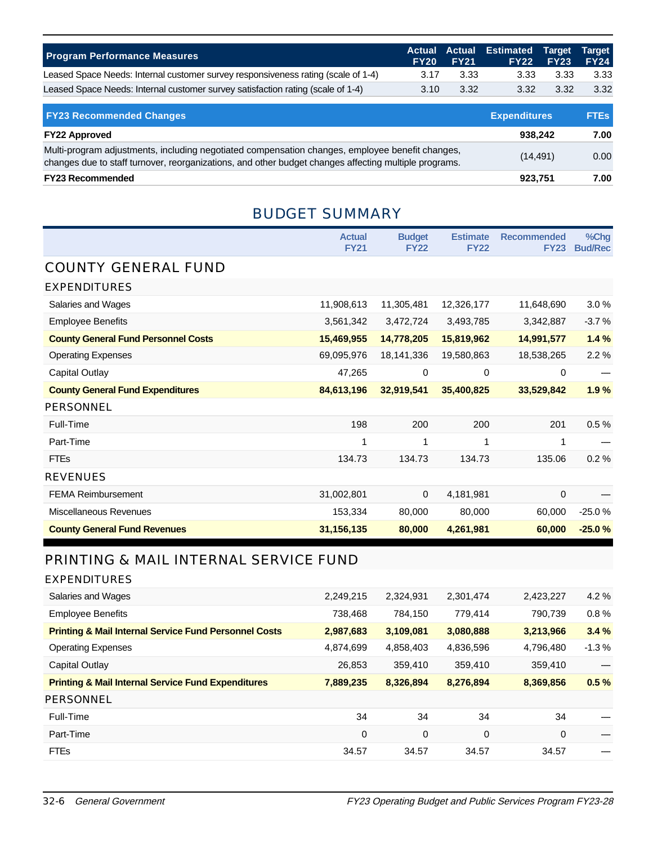| <b>Program Performance Measures</b>                                               | FY <sub>20</sub> | <b>FY21</b> | Actual Actual Estimated Target Target | <b>FY22 FY23</b> | <b>FY24</b> |
|-----------------------------------------------------------------------------------|------------------|-------------|---------------------------------------|------------------|-------------|
| Leased Space Needs: Internal customer survey responsiveness rating (scale of 1-4) | 3.17             | 3.33        | 3.33                                  | 3.33             | 3.33        |
| Leased Space Needs: Internal customer survey satisfaction rating (scale of 1-4)   | 3.10             | 3.32        | 3.32                                  | 3.32             | 3.32        |

| <b>FY23 Recommended Changes</b>                                                                                                                                                                          | <b>Expenditures</b> | <b>FTEs</b> |
|----------------------------------------------------------------------------------------------------------------------------------------------------------------------------------------------------------|---------------------|-------------|
| <b>FY22 Approved</b>                                                                                                                                                                                     | 938.242             | 7.00        |
| Multi-program adjustments, including negotiated compensation changes, employee benefit changes,<br>changes due to staff turnover, reorganizations, and other budget changes affecting multiple programs. | (14, 491)           | 0.00        |
| <b>FY23 Recommended</b>                                                                                                                                                                                  | 923,751             | 7.00        |

### BUDGET SUMMARY

|                                            | <b>Actual</b><br><b>FY21</b> | <b>Budget</b><br><b>FY22</b> | <b>Estimate</b><br><b>FY22</b> | <b>Recommended</b><br><b>FY23</b> | %Chg<br><b>Bud/Rec</b> |
|--------------------------------------------|------------------------------|------------------------------|--------------------------------|-----------------------------------|------------------------|
| <b>COUNTY GENERAL FUND</b>                 |                              |                              |                                |                                   |                        |
| <b>EXPENDITURES</b>                        |                              |                              |                                |                                   |                        |
| Salaries and Wages                         | 11,908,613                   | 11,305,481                   | 12,326,177                     | 11,648,690                        | 3.0%                   |
| <b>Employee Benefits</b>                   | 3,561,342                    | 3,472,724                    | 3,493,785                      | 3,342,887                         | $-3.7%$                |
| <b>County General Fund Personnel Costs</b> | 15,469,955                   | 14,778,205                   | 15,819,962                     | 14,991,577                        | 1.4%                   |
| <b>Operating Expenses</b>                  | 69,095,976                   | 18,141,336                   | 19,580,863                     | 18,538,265                        | 2.2%                   |
| Capital Outlay                             | 47,265                       | 0                            | $\mathbf 0$                    | 0                                 |                        |
| <b>County General Fund Expenditures</b>    | 84,613,196                   | 32,919,541                   | 35,400,825                     | 33,529,842                        | 1.9%                   |
| <b>PERSONNEL</b>                           |                              |                              |                                |                                   |                        |
| Full-Time                                  | 198                          | 200                          | 200                            | 201                               | 0.5%                   |
| Part-Time                                  |                              |                              | 1                              | 1                                 |                        |
| <b>FTEs</b>                                | 134.73                       | 134.73                       | 134.73                         | 135.06                            | 0.2%                   |
| <b>REVENUES</b>                            |                              |                              |                                |                                   |                        |
| <b>FEMA Reimbursement</b>                  | 31,002,801                   | 0                            | 4,181,981                      | 0                                 |                        |
| <b>Miscellaneous Revenues</b>              | 153,334                      | 80,000                       | 80,000                         | 60,000                            | $-25.0%$               |
| <b>County General Fund Revenues</b>        | 31,156,135                   | 80,000                       | 4,261,981                      | 60,000                            | $-25.0%$               |

# PRINTING & MAIL INTERNAL SERVICE FUND

| <b>EXPENDITURES</b>                                              |           |           |             |           |         |
|------------------------------------------------------------------|-----------|-----------|-------------|-----------|---------|
| Salaries and Wages                                               | 2,249,215 | 2,324,931 | 2,301,474   | 2,423,227 | $4.2\%$ |
| <b>Employee Benefits</b>                                         | 738,468   | 784,150   | 779.414     | 790.739   | 0.8%    |
| <b>Printing &amp; Mail Internal Service Fund Personnel Costs</b> | 2,987,683 | 3,109,081 | 3,080,888   | 3,213,966 | 3.4%    |
| <b>Operating Expenses</b>                                        | 4,874,699 | 4,858,403 | 4,836,596   | 4,796,480 | $-1.3%$ |
| Capital Outlay                                                   | 26,853    | 359,410   | 359,410     | 359,410   |         |
| <b>Printing &amp; Mail Internal Service Fund Expenditures</b>    | 7,889,235 | 8,326,894 | 8,276,894   | 8,369,856 | 0.5%    |
| PERSONNEL                                                        |           |           |             |           |         |
| Full-Time                                                        | 34        | 34        | 34          | 34        |         |
| Part-Time                                                        | 0         | 0         | $\mathbf 0$ | 0         |         |
| <b>FTEs</b>                                                      | 34.57     | 34.57     | 34.57       | 34.57     |         |
|                                                                  |           |           |             |           |         |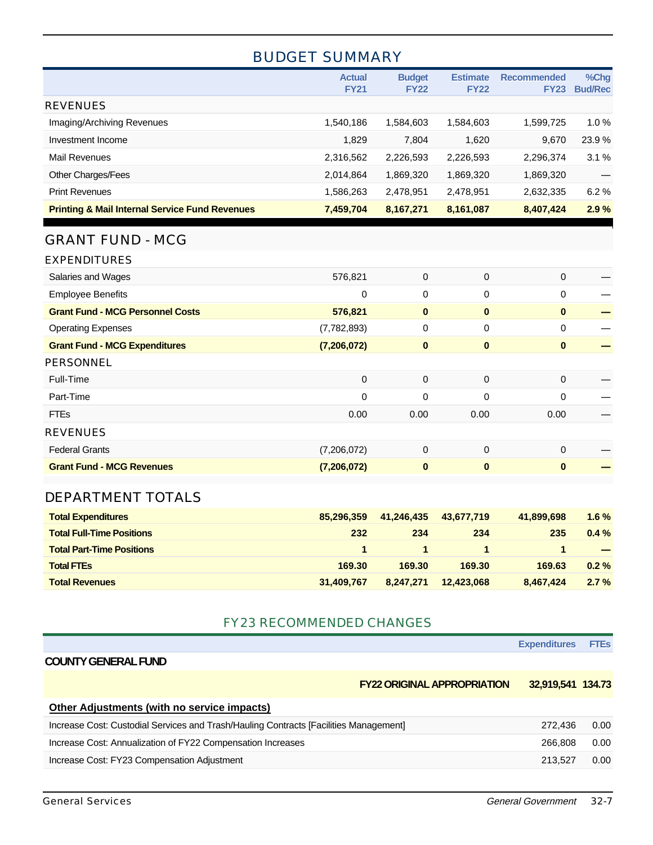### BUDGET SUMMARY

|                                                           | <b>Actual</b><br><b>FY21</b> | <b>Budget</b><br><b>FY22</b> | <b>Estimate</b><br><b>FY22</b> | <b>Recommended</b><br><b>FY23</b> | %Chg<br><b>Bud/Rec</b> |
|-----------------------------------------------------------|------------------------------|------------------------------|--------------------------------|-----------------------------------|------------------------|
| <b>REVENUES</b>                                           |                              |                              |                                |                                   |                        |
| Imaging/Archiving Revenues                                | 1,540,186                    | 1,584,603                    | 1,584,603                      | 1,599,725                         | 1.0%                   |
| Investment Income                                         | 1,829                        | 7,804                        | 1,620                          | 9,670                             | 23.9%                  |
| <b>Mail Revenues</b>                                      | 2,316,562                    | 2,226,593                    | 2,226,593                      | 2,296,374                         | 3.1%                   |
| Other Charges/Fees                                        | 2,014,864                    | 1,869,320                    | 1,869,320                      | 1,869,320                         |                        |
| <b>Print Revenues</b>                                     | 1,586,263                    | 2,478,951                    | 2,478,951                      | 2,632,335                         | 6.2%                   |
| <b>Printing &amp; Mail Internal Service Fund Revenues</b> | 7,459,704                    | 8,167,271                    | 8,161,087                      | 8,407,424                         | 2.9%                   |
| <b>GRANT FUND - MCG</b>                                   |                              |                              |                                |                                   |                        |
| <b>EXPENDITURES</b>                                       |                              |                              |                                |                                   |                        |
| Salaries and Wages                                        | 576,821                      | 0                            | 0                              | $\mathbf 0$                       |                        |
| <b>Employee Benefits</b>                                  | 0                            | 0                            | 0                              | 0                                 |                        |
| <b>Grant Fund - MCG Personnel Costs</b>                   | 576,821                      | $\mathbf{0}$                 | $\mathbf{0}$                   | $\mathbf{0}$                      |                        |
| <b>Operating Expenses</b>                                 | (7,782,893)                  | 0                            | 0                              | $\mathbf 0$                       |                        |
| <b>Grant Fund - MCG Expenditures</b>                      | (7, 206, 072)                | $\bf{0}$                     | $\bf{0}$                       | $\bf{0}$                          |                        |
| <b>PERSONNEL</b>                                          |                              |                              |                                |                                   |                        |
| Full-Time                                                 | 0                            | 0                            | 0                              | 0                                 |                        |
| Part-Time                                                 | 0                            | 0                            | 0                              | 0                                 |                        |
| <b>FTEs</b>                                               | 0.00                         | 0.00                         | 0.00                           | 0.00                              |                        |
| <b>REVENUES</b>                                           |                              |                              |                                |                                   |                        |
| <b>Federal Grants</b>                                     | (7,206,072)                  | 0                            | 0                              | 0                                 |                        |
| <b>Grant Fund - MCG Revenues</b>                          | (7, 206, 072)                | $\bf{0}$                     | $\bf{0}$                       | $\bf{0}$                          |                        |
| DEPARTMENT TOTALS                                         |                              |                              |                                |                                   |                        |
| <b>Total Expenditures</b>                                 | 85,296,359                   | 41,246,435                   | 43,677,719                     | 41,899,698                        | 1.6%                   |
| <b>Total Full-Time Positions</b>                          | 232                          | 234                          | 234                            | 235                               | 0.4%                   |

| <b>Total Part-Time Positions</b> |            |        |                      |           | $\sim$   |
|----------------------------------|------------|--------|----------------------|-----------|----------|
| <b>Total FTEs</b>                | 169.30     | 169.30 | 169.30               | 169.63    | $0.2 \%$ |
| <b>Total Revenues</b>            | 31,409,767 |        | 8,247,271 12,423,068 | 8.467.424 | 2.7%     |

#### FY23 RECOMMENDED CHANGES

**Expenditures FTEs**

#### **COUNTY GENERAL FUND**

**FY22 ORIGINAL APPROPRIATION 32,919,541 134.73**

| Other Adjustments (with no service impacts)                                           |         |      |
|---------------------------------------------------------------------------------------|---------|------|
| Increase Cost: Custodial Services and Trash/Hauling Contracts [Facilities Management] | 272.436 | 0.00 |
| Increase Cost: Annualization of FY22 Compensation Increases                           | 266.808 | 0.00 |
| Increase Cost: FY23 Compensation Adjustment                                           | 213.527 | 0.00 |
|                                                                                       |         |      |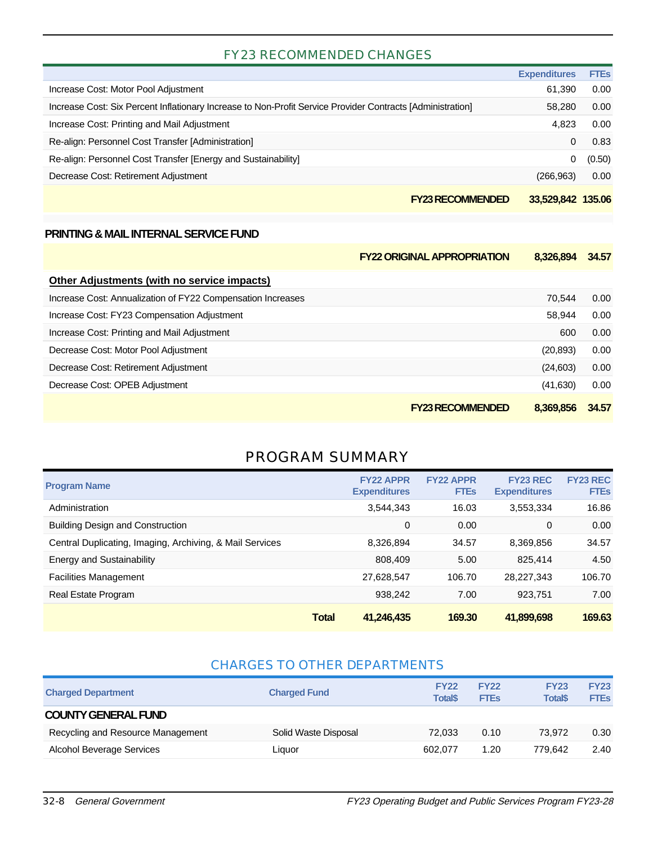#### FY23 RECOMMENDED CHANGES

|                                                                                                            | <b>Expenditures</b> | <b>FTEs</b> |
|------------------------------------------------------------------------------------------------------------|---------------------|-------------|
| Increase Cost: Motor Pool Adjustment                                                                       | 61,390              | 0.00        |
| Increase Cost: Six Percent Inflationary Increase to Non-Profit Service Provider Contracts [Administration] | 58,280              | 0.00        |
| Increase Cost: Printing and Mail Adjustment                                                                | 4.823               | 0.00        |
| Re-align: Personnel Cost Transfer [Administration]                                                         | $\Omega$            | 0.83        |
| Re-align: Personnel Cost Transfer [Energy and Sustainability]                                              | 0                   | (0.50)      |
| Decrease Cost: Retirement Adjustment                                                                       | (266, 963)          | 0.00        |
| <b>FY23 RECOMMENDED</b>                                                                                    | 33.529.842 135.06   |             |

#### **PRINTING & MAIL INTERNAL SERVICE FUND**

|                                                             | <b>FY22 ORIGINAL APPROPRIATION</b> | 8,326,894 | 34.57 |
|-------------------------------------------------------------|------------------------------------|-----------|-------|
| Other Adjustments (with no service impacts)                 |                                    |           |       |
| Increase Cost: Annualization of FY22 Compensation Increases |                                    | 70.544    | 0.00  |
| Increase Cost: FY23 Compensation Adjustment                 |                                    | 58.944    | 0.00  |
| Increase Cost: Printing and Mail Adjustment                 |                                    | 600       | 0.00  |
| Decrease Cost: Motor Pool Adjustment                        |                                    | (20, 893) | 0.00  |
| Decrease Cost: Retirement Adjustment                        |                                    | (24,603)  | 0.00  |
| Decrease Cost: OPEB Adjustment                              |                                    | (41,630)  | 0.00  |
|                                                             | <b>FY23 RECOMMENDED</b>            | 8.369.856 | 34.57 |

### PROGRAM SUMMARY

| <b>Program Name</b>                                      |              | <b>FY22 APPR</b><br><b>Expenditures</b> | <b>FY22 APPR</b><br><b>FTES</b> | <b>FY23 REC</b><br><b>Expenditures</b> | <b>FY23 REC</b><br><b>FTEs</b> |
|----------------------------------------------------------|--------------|-----------------------------------------|---------------------------------|----------------------------------------|--------------------------------|
| Administration                                           |              | 3.544.343                               | 16.03                           | 3.553.334                              | 16.86                          |
| <b>Building Design and Construction</b>                  |              | 0                                       | 0.00                            | 0                                      | 0.00                           |
| Central Duplicating, Imaging, Archiving, & Mail Services |              | 8,326,894                               | 34.57                           | 8,369,856                              | 34.57                          |
| <b>Energy and Sustainability</b>                         |              | 808,409                                 | 5.00                            | 825.414                                | 4.50                           |
| <b>Facilities Management</b>                             |              | 27,628,547                              | 106.70                          | 28.227.343                             | 106.70                         |
| Real Estate Program                                      |              | 938,242                                 | 7.00                            | 923.751                                | 7.00                           |
|                                                          | <b>Total</b> | 41,246,435                              | 169.30                          | 41,899,698                             | 169.63                         |

#### CHARGES TO OTHER DEPARTMENTS

| <b>Charged Department</b>         | <b>Charged Fund</b>  | <b>FY22</b><br><b>Total</b> \$ | <b>FY22</b><br><b>FTEs</b> | <b>FY23</b><br><b>Total</b> <sup>\$</sup> | <b>FY23</b><br><b>FTEs</b> |
|-----------------------------------|----------------------|--------------------------------|----------------------------|-------------------------------------------|----------------------------|
| <b>COUNTY GENERAL FUND</b>        |                      |                                |                            |                                           |                            |
| Recycling and Resource Management | Solid Waste Disposal | 72.033                         | 0.10                       | 73.972                                    | 0.30                       |
| Alcohol Beverage Services         | Liauor               | 602.077                        | 1.20                       | 779.642                                   | 2.40                       |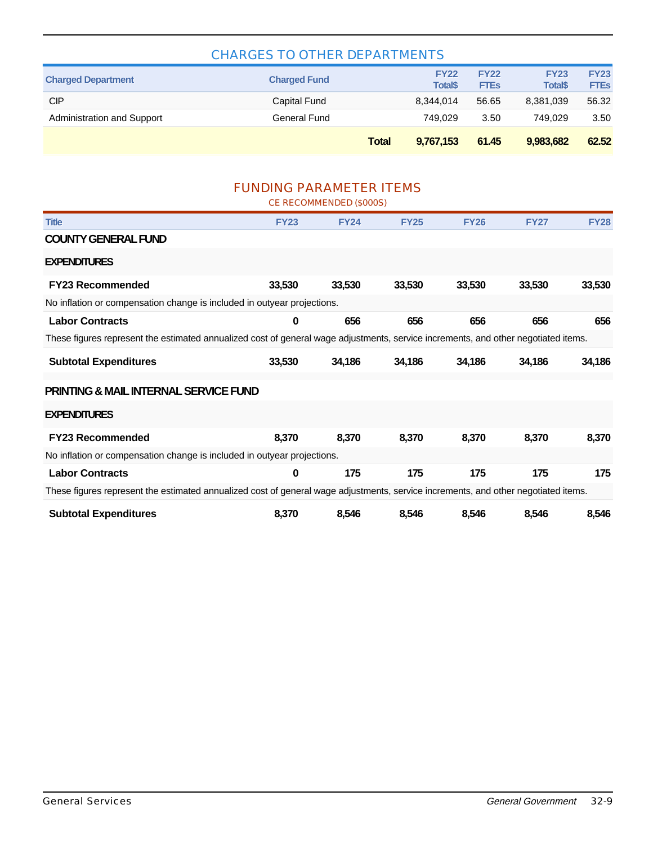| <b>CHARGES TO OTHER DEPARTMENTS</b> |                     |                               |                            |                                |                            |  |
|-------------------------------------|---------------------|-------------------------------|----------------------------|--------------------------------|----------------------------|--|
| <b>Charged Department</b>           | <b>Charged Fund</b> | <b>FY22</b><br><b>Total\$</b> | <b>FY22</b><br><b>FTEs</b> | <b>FY23</b><br><b>Total</b> \$ | <b>FY23</b><br><b>FTEs</b> |  |
| СIР                                 | Capital Fund        | 8.344.014                     | 56.65                      | 8,381,039                      | 56.32                      |  |
| Administration and Support          | General Fund        | 749.029                       | 3.50                       | 749.029                        | 3.50                       |  |
|                                     | <b>Total</b>        | 9.767.153                     | 61.45                      | 9,983,682                      | 62.52                      |  |

#### FUNDING PARAMETER ITEMS

|                                                                                                                                    |                                                                                                                                    | CE RECOMMENDED (\$000S) |             |             |             |             |  |  |
|------------------------------------------------------------------------------------------------------------------------------------|------------------------------------------------------------------------------------------------------------------------------------|-------------------------|-------------|-------------|-------------|-------------|--|--|
| <b>Title</b>                                                                                                                       | <b>FY23</b>                                                                                                                        | <b>FY24</b>             | <b>FY25</b> | <b>FY26</b> | <b>FY27</b> | <b>FY28</b> |  |  |
| <b>COUNTY GENERAL FUND</b>                                                                                                         |                                                                                                                                    |                         |             |             |             |             |  |  |
| <b>EXPENDITURES</b>                                                                                                                |                                                                                                                                    |                         |             |             |             |             |  |  |
| <b>FY23 Recommended</b>                                                                                                            | 33,530                                                                                                                             | 33,530                  | 33,530      | 33,530      | 33,530      | 33,530      |  |  |
| No inflation or compensation change is included in outyear projections.                                                            |                                                                                                                                    |                         |             |             |             |             |  |  |
| <b>Labor Contracts</b>                                                                                                             | 0                                                                                                                                  | 656                     | 656         | 656         | 656         | 656         |  |  |
| These figures represent the estimated annualized cost of general wage adjustments, service increments, and other negotiated items. |                                                                                                                                    |                         |             |             |             |             |  |  |
| <b>Subtotal Expenditures</b>                                                                                                       | 33,530                                                                                                                             | 34,186                  | 34,186      | 34,186      | 34,186      | 34,186      |  |  |
| <b>PRINTING &amp; MAIL INTERNAL SERVICE FUND</b>                                                                                   |                                                                                                                                    |                         |             |             |             |             |  |  |
| <b>EXPENDITURES</b>                                                                                                                |                                                                                                                                    |                         |             |             |             |             |  |  |
| <b>FY23 Recommended</b>                                                                                                            | 8,370                                                                                                                              | 8,370                   | 8,370       | 8,370       | 8,370       | 8,370       |  |  |
| No inflation or compensation change is included in outyear projections.                                                            |                                                                                                                                    |                         |             |             |             |             |  |  |
| <b>Labor Contracts</b>                                                                                                             | 0                                                                                                                                  | 175                     | 175         | 175         | 175         | 175         |  |  |
|                                                                                                                                    | These figures represent the estimated annualized cost of general wage adjustments, service increments, and other negotiated items. |                         |             |             |             |             |  |  |
| <b>Subtotal Expenditures</b>                                                                                                       | 8,370                                                                                                                              | 8,546                   | 8,546       | 8,546       | 8,546       | 8,546       |  |  |